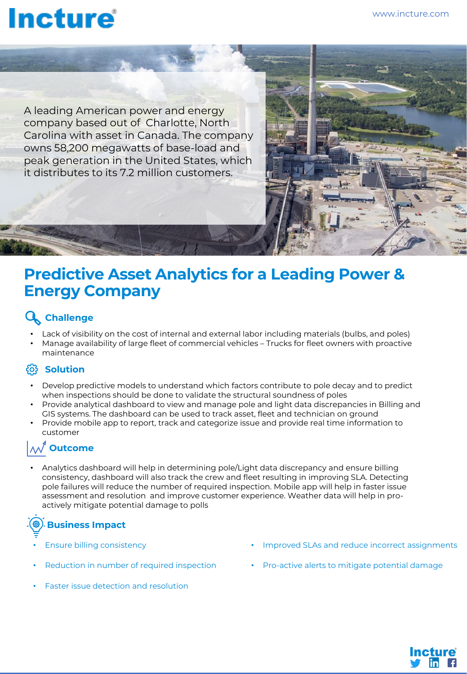# **Incture**

A leading American power and energy company based out of Charlotte, North Carolina with asset in Canada. The company owns 58,200 megawatts of base-load and peak generation in the United States, which it distributes to its 7.2 million customers.

## **Predictive Asset Analytics for a Leading Power & Energy Company**

### **Challenge**

- Lack of visibility on the cost of internal and external labor including materials (bulbs, and poles)
- Manage availability of large fleet of commercial vehicles Trucks for fleet owners with proactive maintenance

### **Solution**

- Develop predictive models to understand which factors contribute to pole decay and to predict when inspections should be done to validate the structural soundness of poles
- Provide analytical dashboard to view and manage pole and light data discrepancies in Billing and GIS systems. The dashboard can be used to track asset, fleet and technician on ground
- Provide mobile app to report, track and categorize issue and provide real time information to customer

### **Outcome**

• Analytics dashboard will help in determining pole/Light data discrepancy and ensure billing consistency, dashboard will also track the crew and fleet resulting in improving SLA. Detecting pole failures will reduce the number of required inspection. Mobile app will help in faster issue assessment and resolution and improve customer experience. Weather data will help in proactively mitigate potential damage to polls

## **Business Impact**

- Ensure billing consistency
- Reduction in number of required inspection
- Faster issue detection and resolution
- Improved SLAs and reduce incorrect assignments
- Pro-active alerts to mitigate potential damage